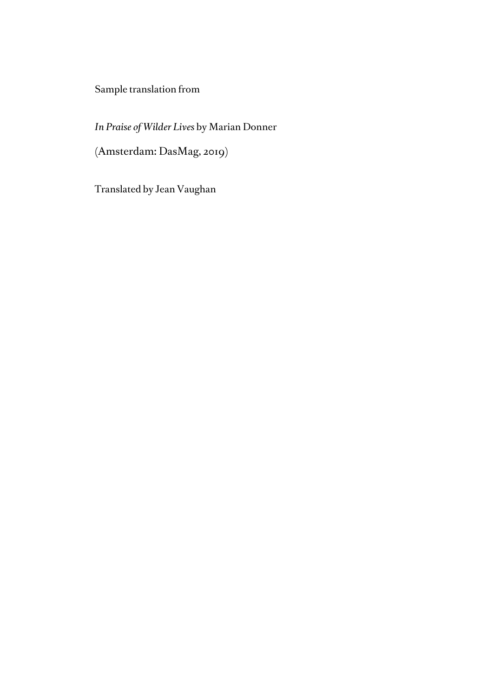Sample translation from

*In Praise of Wilder Lives* by Marian Donner

(Amsterdam: DasMag, 2019)

Translated by Jean Vaughan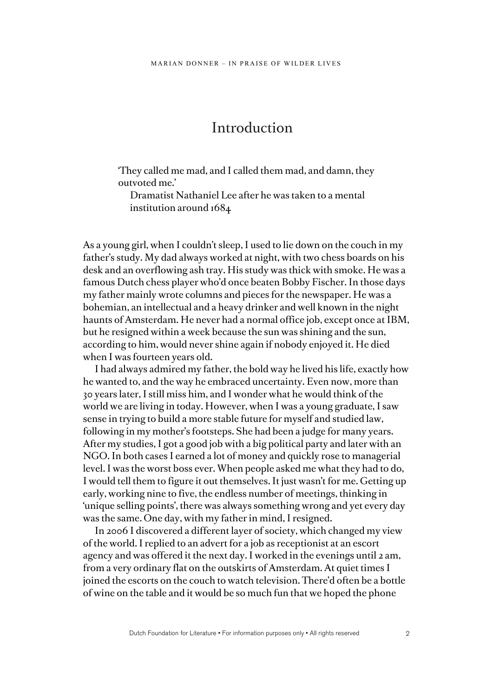## Introduction

'They called me mad, and I called them mad, and damn, they outvoted me.'

Dramatist Nathaniel Lee after he was taken to a mental institution around 1684

As a young girl, when I couldn't sleep, I used to lie down on the couch in my father's study. My dad always worked at night, with two chess boards on his desk and an overflowing ash tray. His study was thick with smoke. He was a famous Dutch chess player who'd once beaten Bobby Fischer. In those days my father mainly wrote columns and pieces for the newspaper. He was a bohemian, an intellectual and a heavy drinker and well known in the night haunts of Amsterdam. He never had a normal office job, except once at IBM, but he resigned within a week because the sun was shining and the sun, according to him, would never shine again if nobody enjoyed it. He died when I was fourteen years old.

I had always admired my father, the bold way he lived his life, exactly how he wanted to, and the way he embraced uncertainty. Even now, more than 30 years later, I still miss him, and I wonder what he would think of the world we are living in today. However, when I was a young graduate, I saw sense in trying to build a more stable future for myself and studied law, following in my mother's footsteps. She had been a judge for many years. After my studies, I got a good job with a big political party and later with an NGO. In both cases I earned a lot of money and quickly rose to managerial level. I was the worst boss ever. When people asked me what they had to do, I would tell them to figure it out themselves. It just wasn't for me. Getting up early, working nine to five, the endless number of meetings, thinking in 'unique selling points', there was always something wrong and yet every day was the same. One day, with my father in mind, I resigned.

In 2006 I discovered a different layer of society, which changed my view of the world. I replied to an advert for a job as receptionist at an escort agency and was offered it the next day. I worked in the evenings until 2 am, from a very ordinary flat on the outskirts of Amsterdam. At quiet times I joined the escorts on the couch to watch television. There'd often be a bottle of wine on the table and it would be so much fun that we hoped the phone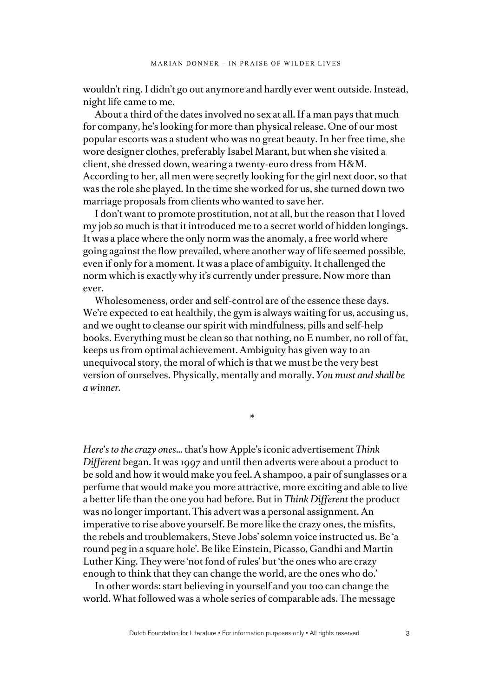wouldn't ring. I didn't go out anymore and hardly ever went outside. Instead, night life came to me.

About a third of the dates involved no sex at all. If a man pays that much for company, he's looking for more than physical release. One of our most popular escorts was a student who was no great beauty. In her free time, she wore designer clothes, preferably Isabel Marant, but when she visited a client, she dressed down, wearing a twenty-euro dress from H&M. According to her, all men were secretly looking for the girl next door, so that was the role she played. In the time she worked for us, she turned down two marriage proposals from clients who wanted to save her.

I don't want to promote prostitution, not at all, but the reason that I loved my job so much is that it introduced me to a secret world of hidden longings. It was a place where the only norm was the anomaly, a free world where going against the flow prevailed, where another way of life seemed possible, even if only for a moment. It was a place of ambiguity. It challenged the norm which is exactly why it's currently under pressure. Now more than ever.

Wholesomeness, order and self-control are of the essence these days. We're expected to eat healthily, the gym is always waiting for us, accusing us, and we ought to cleanse our spirit with mindfulness, pills and self-help books. Everything must be clean so that nothing, no E number, no roll of fat, keeps us from optimal achievement. Ambiguity has given way to an unequivocal story, the moral of which is that we must be the very best version of ourselves. Physically, mentally and morally. *You must and shall be a winner.*

\*

*Here's to the crazy ones*… that's how Apple's iconic advertisement *Think Different* began. It was 1997 and until then adverts were about a product to be sold and how it would make you feel. A shampoo, a pair of sunglasses or a perfume that would make you more attractive, more exciting and able to live a better life than the one you had before. But in *Think Different* the product was no longer important. This advert was a personal assignment. An imperative to rise above yourself. Be more like the crazy ones, the misfits, the rebels and troublemakers, Steve Jobs' solemn voice instructed us. Be 'a round peg in a square hole'. Be like Einstein, Picasso, Gandhi and Martin Luther King. They were 'not fond of rules' but 'the ones who are crazy enough to think that they can change the world, are the ones who do.'

In other words: start believing in yourself and you too can change the world. What followed was a whole series of comparable ads. The message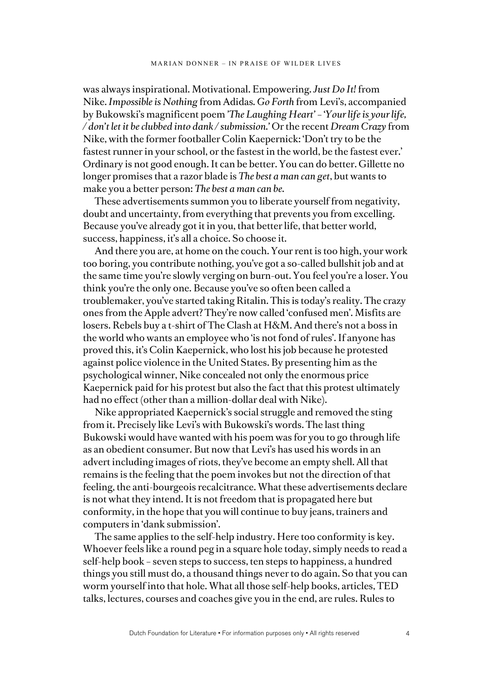was always inspirational. Motivational. Empowering. *Just Do It!* from Nike. *Impossible is Nothing* from Adidas*. Go Forth* from Levi's, accompanied by Bukowski's magnificent poem *'The Laughing Heart'* – '*Your life is your life, / don't let it be clubbed into dank / submission.'* Or the recent *Dream Crazy* from Nike, with the former footballer Colin Kaepernick: 'Don't try to be the fastest runner in your school, or the fastest in the world, be the fastest ever.' Ordinary is not good enough. It can be better. You can do better. Gillette no longer promises that a razor blade is *The best a man can get*, but wants to make you a better person: *The best a man can be.*

These advertisements summon you to liberate yourself from negativity, doubt and uncertainty, from everything that prevents you from excelling. Because you've already got it in you, that better life, that better world, success, happiness, it's all a choice. So choose it.

And there you are, at home on the couch. Your rent is too high, your work too boring, you contribute nothing, you've got a so-called bullshit job and at the same time you're slowly verging on burn-out. You feel you're a loser. You think you're the only one. Because you've so often been called a troublemaker, you've started taking Ritalin. This is today's reality. The crazy ones from the Apple advert? They're now called 'confused men'. Misfits are losers. Rebels buy a t-shirt of The Clash at H&M. And there's not a boss in the world who wants an employee who 'is not fond of rules'. If anyone has proved this, it's Colin Kaepernick, who lost his job because he protested against police violence in the United States. By presenting him as the psychological winner, Nike concealed not only the enormous price Kaepernick paid for his protest but also the fact that this protest ultimately had no effect (other than a million-dollar deal with Nike).

Nike appropriated Kaepernick's social struggle and removed the sting from it. Precisely like Levi's with Bukowski's words. The last thing Bukowski would have wanted with his poem was for you to go through life as an obedient consumer. But now that Levi's has used his words in an advert including images of riots, they've become an empty shell. All that remains is the feeling that the poem invokes but not the direction of that feeling, the anti-bourgeois recalcitrance. What these advertisements declare is not what they intend. It is not freedom that is propagated here but conformity, in the hope that you will continue to buy jeans, trainers and computers in 'dank submission'.

The same applies to the self-help industry. Here too conformity is key. Whoever feels like a round peg in a square hole today, simply needs to read a self-help book – seven steps to success, ten steps to happiness, a hundred things you still must do, a thousand things never to do again. So that you can worm yourself into that hole. What all those self-help books, articles, TED talks, lectures, courses and coaches give you in the end, are rules. Rules to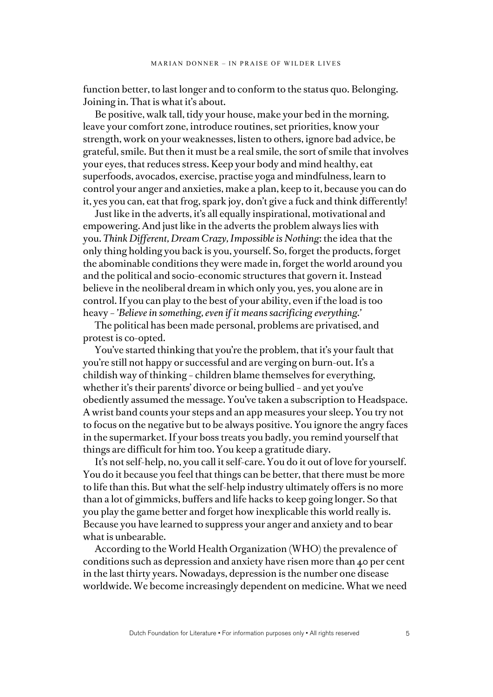function better, to last longer and to conform to the status quo. Belonging. Joining in. That is what it's about.

Be positive, walk tall, tidy your house, make your bed in the morning, leave your comfort zone, introduce routines, set priorities, know your strength, work on your weaknesses, listen to others, ignore bad advice, be grateful, smile. But then it must be a real smile, the sort of smile that involves your eyes, that reduces stress. Keep your body and mind healthy, eat superfoods, avocados, exercise, practise yoga and mindfulness, learn to control your anger and anxieties, make a plan, keep to it, because you can do it, yes you can, eat that frog, spark joy, don't give a fuck and think differently!

Just like in the adverts, it's all equally inspirational, motivational and empowering. And just like in the adverts the problem always lies with you. *Think Different, Dream Crazy, Impossible is Nothing*: the idea that the only thing holding you back is you, yourself. So, forget the products, forget the abominable conditions they were made in, forget the world around you and the political and socio-economic structures that govern it. Instead believe in the neoliberal dream in which only you, yes, you alone are in control. If you can play to the best of your ability, even if the load is too heavy – *'Believe in something, even if it means sacrificing everything.'*

The political has been made personal, problems are privatised, and protest is co-opted.

You've started thinking that you're the problem, that it's your fault that you're still not happy or successful and are verging on burn-out. It's a childish way of thinking – children blame themselves for everything, whether it's their parents' divorce or being bullied – and yet you've obediently assumed the message. You've taken a subscription to Headspace. A wrist band counts your steps and an app measures your sleep. You try not to focus on the negative but to be always positive. You ignore the angry faces in the supermarket. If your boss treats you badly, you remind yourself that things are difficult for him too. You keep a gratitude diary.

It's not self-help, no, you call it self-care. You do it out of love for yourself. You do it because you feel that things can be better, that there must be more to life than this. But what the self-help industry ultimately offers is no more than a lot of gimmicks, buffers and life hacks to keep going longer. So that you play the game better and forget how inexplicable this world really is. Because you have learned to suppress your anger and anxiety and to bear what is unbearable.

According to the World Health Organization (WHO) the prevalence of conditions such as depression and anxiety have risen more than 40 per cent in the last thirty years. Nowadays, depression is the number one disease worldwide. We become increasingly dependent on medicine. What we need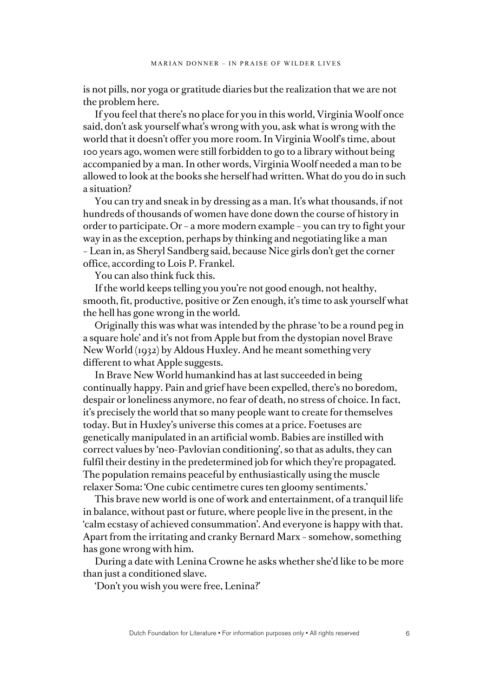is not pills, nor yoga or gratitude diaries but the realization that we are not the problem here.

If you feel that there's no place for you in this world, Virginia Woolf once said, don't ask yourself what's wrong with you, ask what is wrong with the world that it doesn't offer you more room. In Virginia Woolf's time, about 100 years ago, women were still forbidden to go to a library without being accompanied by a man. In other words, Virginia Woolf needed a man to be allowed to look at the books she herself had written. What do you do in such a situation?

You can try and sneak in by dressing as a man. It's what thousands, if not hundreds of thousands of women have done down the course of history in order to participate. Or – a more modern example – you can try to fight your way in as the exception, perhaps by thinking and negotiating like a man – Lean in, as Sheryl Sandberg said, because Nice girls don't get the corner office, according to Lois P. Frankel.

You can also think fuck this.

If the world keeps telling you you're not good enough, not healthy, smooth, fit, productive, positive or Zen enough, it's time to ask yourself what the hell has gone wrong in the world.

Originally this was what was intended by the phrase 'to be a round peg in a square hole' and it's not from Apple but from the dystopian novel Brave New World (1932) by Aldous Huxley. And he meant something very different to what Apple suggests.

In Brave New World humankind has at last succeeded in being continually happy. Pain and grief have been expelled, there's no boredom, despair or loneliness anymore, no fear of death, no stress of choice. In fact, it's precisely the world that so many people want to create for themselves today. But in Huxley's universe this comes at a price. Foetuses are genetically manipulated in an artificial womb. Babies are instilled with correct values by 'neo-Pavlovian conditioning', so that as adults, they can fulfil their destiny in the predetermined job for which they're propagated. The population remains peaceful by enthusiastically using the muscle relaxer Soma: 'One cubic centimetre cures ten gloomy sentiments.'

This brave new world is one of work and entertainment, of a tranquil life in balance, without past or future, where people live in the present, in the 'calm ecstasy of achieved consummation'. And everyone is happy with that. Apart from the irritating and cranky Bernard Marx – somehow, something has gone wrong with him.

During a date with Lenina Crowne he asks whether she'd like to be more than just a conditioned slave.

'Don't you wish you were free, Lenina?'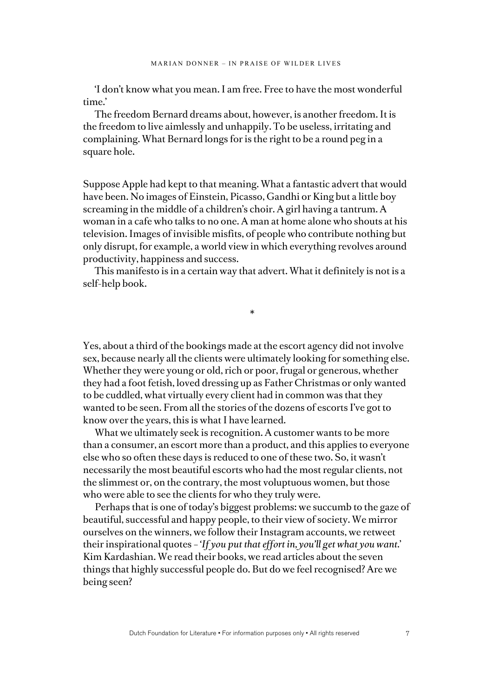'I don't know what you mean. I am free. Free to have the most wonderful time.'

The freedom Bernard dreams about, however, is another freedom. It is the freedom to live aimlessly and unhappily. To be useless, irritating and complaining. What Bernard longs for is the right to be a round peg in a square hole.

Suppose Apple had kept to that meaning. What a fantastic advert that would have been. No images of Einstein, Picasso, Gandhi or King but a little boy screaming in the middle of a children's choir. A girl having a tantrum. A woman in a cafe who talks to no one. A man at home alone who shouts at his television. Images of invisible misfits, of people who contribute nothing but only disrupt, for example, a world view in which everything revolves around productivity, happiness and success.

This manifesto is in a certain way that advert. What it definitely is not is a self-help book.

\*

Yes, about a third of the bookings made at the escort agency did not involve sex, because nearly all the clients were ultimately looking for something else. Whether they were young or old, rich or poor, frugal or generous, whether they had a foot fetish, loved dressing up as Father Christmas or only wanted to be cuddled, what virtually every client had in common was that they wanted to be seen. From all the stories of the dozens of escorts I've got to know over the years, this is what I have learned.

What we ultimately seek is recognition. A customer wants to be more than a consumer, an escort more than a product, and this applies to everyone else who so often these days is reduced to one of these two. So, it wasn't necessarily the most beautiful escorts who had the most regular clients, not the slimmest or, on the contrary, the most voluptuous women, but those who were able to see the clients for who they truly were.

Perhaps that is one of today's biggest problems: we succumb to the gaze of beautiful, successful and happy people, to their view of society. We mirror ourselves on the winners, we follow their Instagram accounts, we retweet their inspirational quotes – *'If you put that effort in, you'll get what you want.*' Kim Kardashian. We read their books, we read articles about the seven things that highly successful people do. But do we feel recognised? Are we being seen?